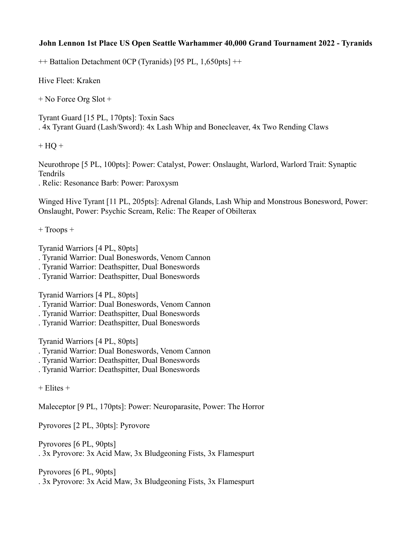## **John Lennon 1st Place US Open Seattle Warhammer 40,000 Grand Tournament 2022 - Tyranids**

++ Battalion Detachment 0CP (Tyranids) [95 PL, 1,650pts] ++

Hive Fleet: Kraken

+ No Force Org Slot +

Tyrant Guard [15 PL, 170pts]: Toxin Sacs . 4x Tyrant Guard (Lash/Sword): 4x Lash Whip and Bonecleaver, 4x Two Rending Claws

 $+ HO +$ 

Neurothrope [5 PL, 100pts]: Power: Catalyst, Power: Onslaught, Warlord, Warlord Trait: Synaptic Tendrils

. Relic: Resonance Barb: Power: Paroxysm

Winged Hive Tyrant [11 PL, 205pts]: Adrenal Glands, Lash Whip and Monstrous Bonesword, Power: Onslaught, Power: Psychic Scream, Relic: The Reaper of Obilterax

+ Troops +

Tyranid Warriors [4 PL, 80pts]

- . Tyranid Warrior: Dual Boneswords, Venom Cannon
- . Tyranid Warrior: Deathspitter, Dual Boneswords
- . Tyranid Warrior: Deathspitter, Dual Boneswords

Tyranid Warriors [4 PL, 80pts]

- . Tyranid Warrior: Dual Boneswords, Venom Cannon
- . Tyranid Warrior: Deathspitter, Dual Boneswords
- . Tyranid Warrior: Deathspitter, Dual Boneswords

Tyranid Warriors [4 PL, 80pts]

- . Tyranid Warrior: Dual Boneswords, Venom Cannon
- . Tyranid Warrior: Deathspitter, Dual Boneswords
- . Tyranid Warrior: Deathspitter, Dual Boneswords

 $+$  Elites  $+$ 

Maleceptor [9 PL, 170pts]: Power: Neuroparasite, Power: The Horror

Pyrovores [2 PL, 30pts]: Pyrovore

Pyrovores [6 PL, 90pts] . 3x Pyrovore: 3x Acid Maw, 3x Bludgeoning Fists, 3x Flamespurt

Pyrovores [6 PL, 90pts] . 3x Pyrovore: 3x Acid Maw, 3x Bludgeoning Fists, 3x Flamespurt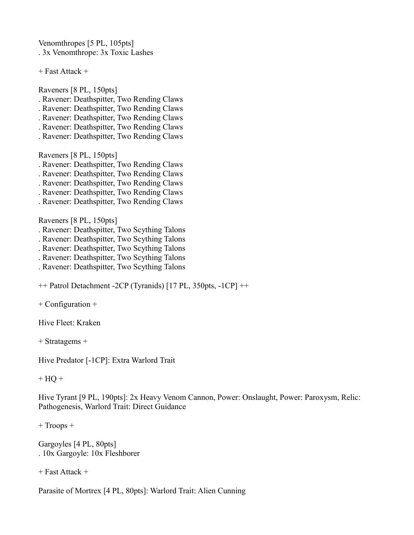Venomthropes [5 PL, 105pts] . 3x Venomthrope: 3x Toxic Lashes

+ Fast Attack +

Raveners [8 PL, 150pts]

- . Ravener: Deathspitter, Two Rending Claws
- . Ravener: Deathspitter, Two Rending Claws
- . Ravener: Deathspitter, Two Rending Claws
- . Ravener: Deathspitter, Two Rending Claws
- . Ravener: Deathspitter, Two Rending Claws

Raveners [8 PL, 150pts]

- . Ravener: Deathspitter, Two Rending Claws
- . Ravener: Deathspitter, Two Rending Claws
- . Ravener: Deathspitter, Two Rending Claws
- . Ravener: Deathspitter, Two Rending Claws
- . Ravener: Deathspitter, Two Rending Claws

Raveners [8 PL, 150pts]

- . Ravener: Deathspitter, Two Scything Talons
- . Ravener: Deathspitter, Two Scything Talons
- . Ravener: Deathspitter, Two Scything Talons
- . Ravener: Deathspitter, Two Scything Talons
- . Ravener: Deathspitter, Two Scything Talons

++ Patrol Detachment -2CP (Tyranids) [17 PL, 350pts, -1CP] ++

+ Configuration +

Hive Fleet: Kraken

+ Stratagems +

Hive Predator [-1CP]: Extra Warlord Trait

 $+$  HQ  $+$ 

Hive Tyrant [9 PL, 190pts]: 2x Heavy Venom Cannon, Power: Onslaught, Power: Paroxysm, Relic: Pathogenesis, Warlord Trait: Direct Guidance

+ Troops +

Gargoyles [4 PL, 80pts] . 10x Gargoyle: 10x Fleshborer

+ Fast Attack +

Parasite of Mortrex [4 PL, 80pts]: Warlord Trait: Alien Cunning